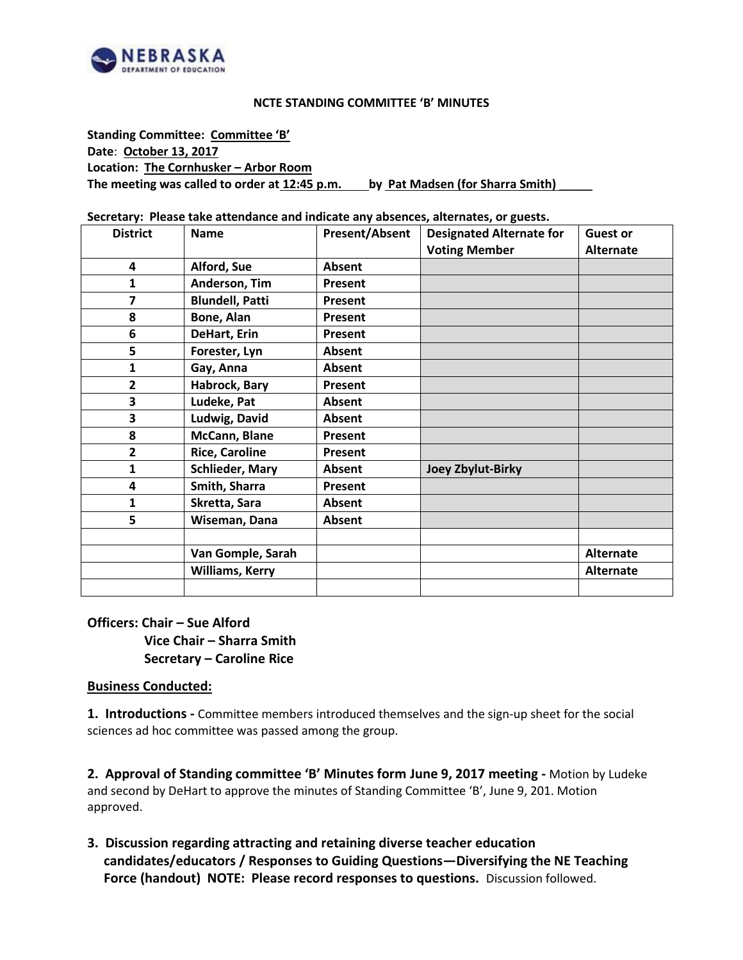

#### **NCTE STANDING COMMITTEE 'B' MINUTES**

**Standing Committee: Committee 'B' Date**: **October 13, 2017 Location: The Cornhusker – Arbor Room The meeting was called to order at 12:45 p.m. by Pat Madsen (for Sharra Smith)** \_\_\_\_\_

**Secretary: Please take attendance and indicate any absences, alternates, or guests.**

| <b>District</b> | <b>Name</b>            | <b>Present/Absent</b> | <b>Designated Alternate for</b> | <b>Guest or</b>  |
|-----------------|------------------------|-----------------------|---------------------------------|------------------|
|                 |                        |                       | <b>Voting Member</b>            | <b>Alternate</b> |
| 4               | Alford, Sue            | Absent                |                                 |                  |
| 1               | Anderson, Tim          | Present               |                                 |                  |
| 7               | <b>Blundell, Patti</b> | Present               |                                 |                  |
| 8               | Bone, Alan             | Present               |                                 |                  |
| 6               | DeHart, Erin           | Present               |                                 |                  |
| 5               | Forester, Lyn          | Absent                |                                 |                  |
| $\mathbf{1}$    | Gay, Anna              | Absent                |                                 |                  |
| $\overline{2}$  | Habrock, Bary          | Present               |                                 |                  |
| 3               | Ludeke, Pat            | <b>Absent</b>         |                                 |                  |
| 3               | Ludwig, David          | <b>Absent</b>         |                                 |                  |
| 8               | McCann, Blane          | Present               |                                 |                  |
| $\overline{2}$  | <b>Rice, Caroline</b>  | Present               |                                 |                  |
| 1               | <b>Schlieder, Mary</b> | Absent                | <b>Joey Zbylut-Birky</b>        |                  |
| 4               | Smith, Sharra          | Present               |                                 |                  |
| 1               | Skretta, Sara          | Absent                |                                 |                  |
| 5               | Wiseman, Dana          | Absent                |                                 |                  |
|                 |                        |                       |                                 |                  |
|                 | Van Gomple, Sarah      |                       |                                 | <b>Alternate</b> |
|                 | <b>Williams, Kerry</b> |                       |                                 | <b>Alternate</b> |
|                 |                        |                       |                                 |                  |

# **Officers: Chair – Sue Alford Vice Chair – Sharra Smith Secretary – Caroline Rice**

### **Business Conducted:**

**1. Introductions -** Committee members introduced themselves and the sign-up sheet for the social sciences ad hoc committee was passed among the group.

**2. Approval of Standing committee 'B' Minutes form June 9, 2017 meeting -** Motion by Ludeke and second by DeHart to approve the minutes of Standing Committee 'B', June 9, 201. Motion approved.

**3. Discussion regarding attracting and retaining diverse teacher education candidates/educators / Responses to Guiding Questions—Diversifying the NE Teaching Force (handout) NOTE: Please record responses to questions.** Discussion followed.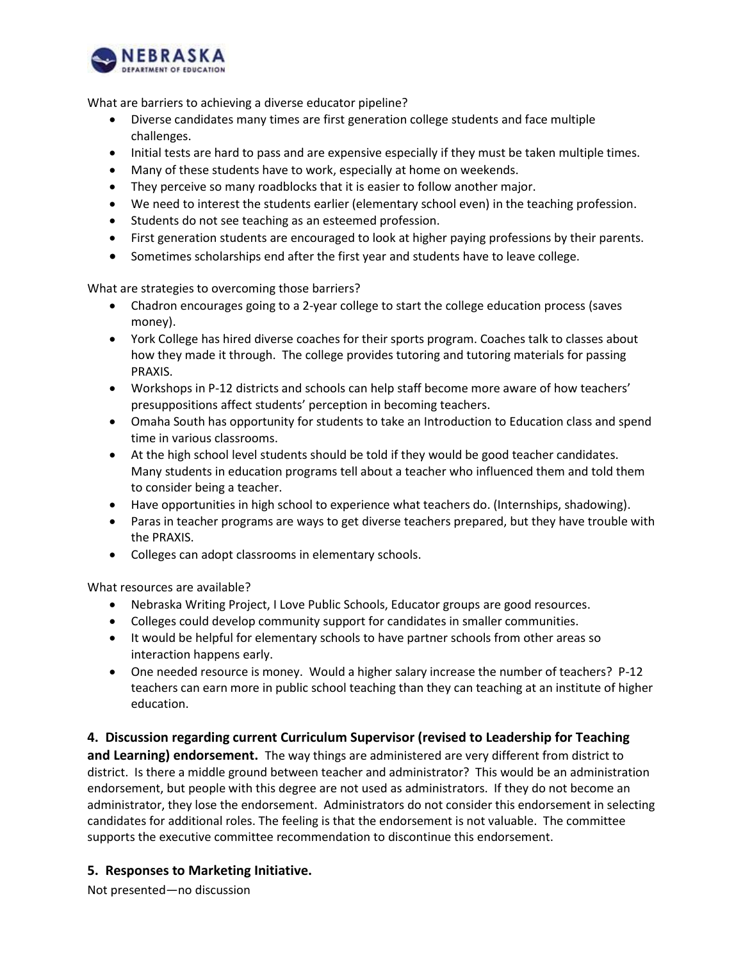

What are barriers to achieving a diverse educator pipeline?

- Diverse candidates many times are first generation college students and face multiple challenges.
- Initial tests are hard to pass and are expensive especially if they must be taken multiple times.
- Many of these students have to work, especially at home on weekends.
- They perceive so many roadblocks that it is easier to follow another major.
- We need to interest the students earlier (elementary school even) in the teaching profession.
- Students do not see teaching as an esteemed profession.
- First generation students are encouraged to look at higher paying professions by their parents.
- Sometimes scholarships end after the first year and students have to leave college.

What are strategies to overcoming those barriers?

- Chadron encourages going to a 2-year college to start the college education process (saves money).
- York College has hired diverse coaches for their sports program. Coaches talk to classes about how they made it through. The college provides tutoring and tutoring materials for passing PRAXIS.
- Workshops in P-12 districts and schools can help staff become more aware of how teachers' presuppositions affect students' perception in becoming teachers.
- Omaha South has opportunity for students to take an Introduction to Education class and spend time in various classrooms.
- At the high school level students should be told if they would be good teacher candidates. Many students in education programs tell about a teacher who influenced them and told them to consider being a teacher.
- Have opportunities in high school to experience what teachers do. (Internships, shadowing).
- Paras in teacher programs are ways to get diverse teachers prepared, but they have trouble with the PRAXIS.
- Colleges can adopt classrooms in elementary schools.

What resources are available?

- Nebraska Writing Project, I Love Public Schools, Educator groups are good resources.
- Colleges could develop community support for candidates in smaller communities.
- It would be helpful for elementary schools to have partner schools from other areas so interaction happens early.
- One needed resource is money. Would a higher salary increase the number of teachers? P-12 teachers can earn more in public school teaching than they can teaching at an institute of higher education.

### **4. Discussion regarding current Curriculum Supervisor (revised to Leadership for Teaching**

**and Learning) endorsement.** The way things are administered are very different from district to district. Is there a middle ground between teacher and administrator? This would be an administration endorsement, but people with this degree are not used as administrators. If they do not become an administrator, they lose the endorsement. Administrators do not consider this endorsement in selecting candidates for additional roles. The feeling is that the endorsement is not valuable. The committee supports the executive committee recommendation to discontinue this endorsement.

## **5. Responses to Marketing Initiative.**

Not presented—no discussion